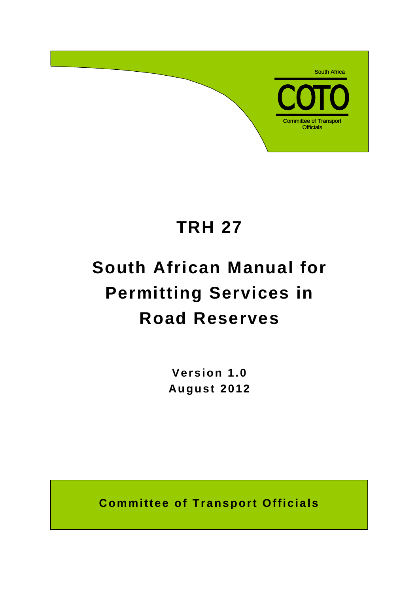

# **TRH 27**

# **South African Manual for Permitting Services in Road Reserves**

**Version 1.0 August 2012**

**Committee of Transport Officials**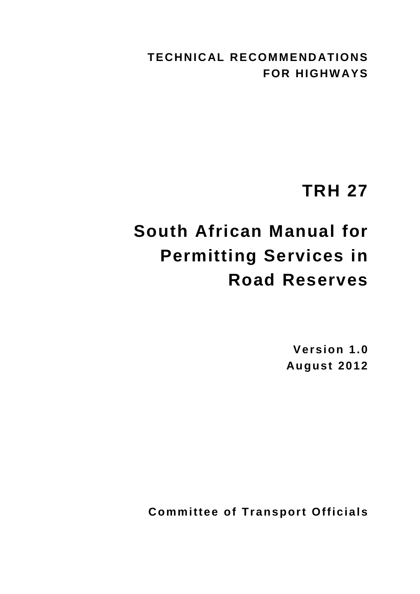**TECHNICAL RECOMMENDATIONS FOR HIGHWAYS**

# **TRH 27**

# **South African Manual for Permitting Services in Road Reserves**

**Version 1.0 August 2012**

**Committee of Transport Officials**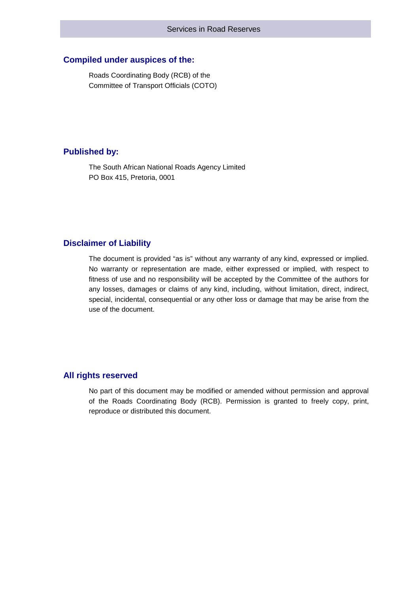#### **Compiled under auspices of the:**

Roads Coordinating Body (RCB) of the Committee of Transport Officials (COTO)

#### **Published by:**

The South African National Roads Agency Limited PO Box 415, Pretoria, 0001

#### **Disclaimer of Liability**

The document is provided "as is" without any warranty of any kind, expressed or implied. No warranty or representation are made, either expressed or implied, with respect to fitness of use and no responsibility will be accepted by the Committee of the authors for any losses, damages or claims of any kind, including, without limitation, direct, indirect, special, incidental, consequential or any other loss or damage that may be arise from the use of the document.

#### **All rights reserved**

No part of this document may be modified or amended without permission and approval of the Roads Coordinating Body (RCB). Permission is granted to freely copy, print, reproduce or distributed this document.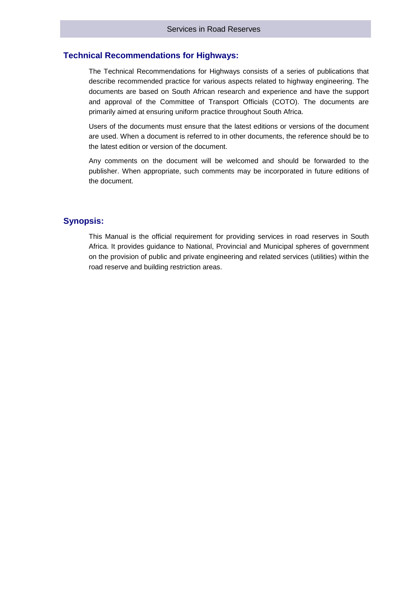#### **Technical Recommendations for Highways:**

The Technical Recommendations for Highways consists of a series of publications that describe recommended practice for various aspects related to highway engineering. The documents are based on South African research and experience and have the support and approval of the Committee of Transport Officials (COTO). The documents are primarily aimed at ensuring uniform practice throughout South Africa.

Users of the documents must ensure that the latest editions or versions of the document are used. When a document is referred to in other documents, the reference should be to the latest edition or version of the document.

Any comments on the document will be welcomed and should be forwarded to the publisher. When appropriate, such comments may be incorporated in future editions of the document.

#### **Synopsis:**

This Manual is the official requirement for providing services in road reserves in South Africa. It provides guidance to National, Provincial and Municipal spheres of government on the provision of public and private engineering and related services (utilities) within the road reserve and building restriction areas.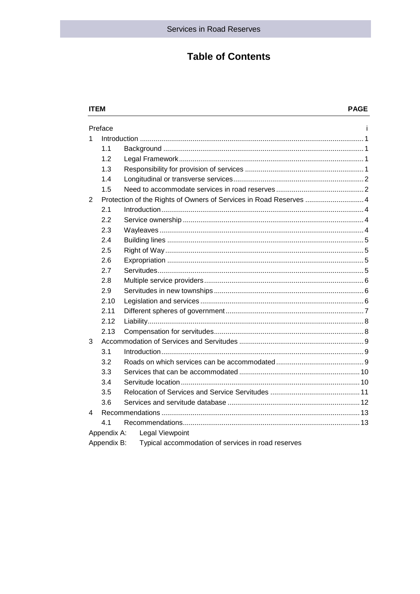### **Table of Contents**

#### **ITEM** Preface j. 1  $1.1$  $1.2$  $1.3$  $1.4$  $1.5$ 2  $2.1$  $2.2$  $2.3$  $2.4$  $2.5$  $26$  $2.7$  $2.8$ 2.9 2.10  $2.11$  $2.12$  $2,13$  $\mathbf{R}$  $3.1$  $3.2$  $3.3$  $3.4$  $3.5$  $3.6$  $\overline{\mathbf{A}}$  $4.1$ Appendix A: Legal Viewpoint Appendix B: Typical accommodation of services in road reserves

#### **PAGE**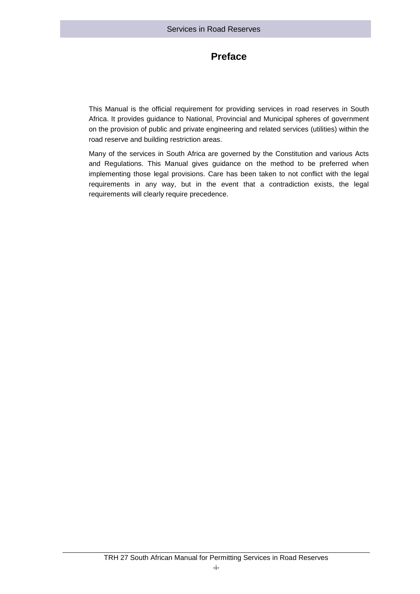## **Preface**

This Manual is the official requirement for providing services in road reserves in South Africa. It provides guidance to National, Provincial and Municipal spheres of government on the provision of public and private engineering and related services (utilities) within the road reserve and building restriction areas.

Many of the services in South Africa are governed by the Constitution and various Acts and Regulations. This Manual gives guidance on the method to be preferred when implementing those legal provisions. Care has been taken to not conflict with the legal requirements in any way, but in the event that a contradiction exists, the legal requirements will clearly require precedence.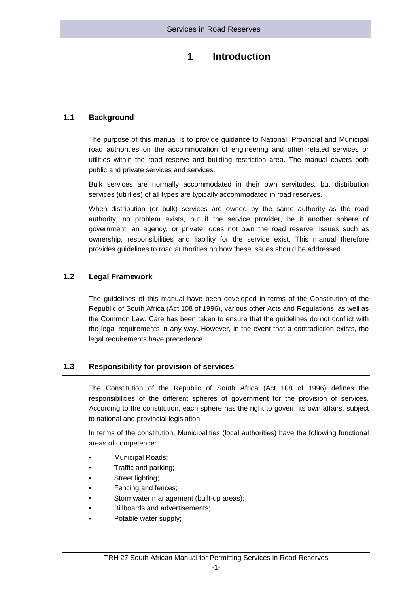## **1 Introduction**

#### <span id="page-6-0"></span>**1.1 Background**

<span id="page-6-1"></span>The purpose of this manual is to provide guidance to National, Provincial and Municipal road authorities on the accommodation of engineering and other related services or utilities within the road reserve and building restriction area. The manual covers both public and private services and services.

Bulk services are normally accommodated in their own servitudes, but distribution services (utilities) of all types are typically accommodated in road reserves.

When distribution (or bulk) services are owned by the same authority as the road authority, no problem exists, but if the service provider, be it another sphere of government, an agency, or private, does not own the road reserve, issues such as ownership, responsibilities and liability for the service exist. This manual therefore provides guidelines to road authorities on how these issues should be addressed.

#### <span id="page-6-2"></span>**1.2 Legal Framework**

The guidelines of this manual have been developed in terms of the Constitution of the Republic of South Africa (Act 108 of 1996), various other Acts and Regulations, as well as the Common Law. Care has been taken to ensure that the guidelines do not conflict with the legal requirements in any way. However, in the event that a contradiction exists, the legal requirements have precedence.

#### <span id="page-6-3"></span>**1.3 Responsibility for provision of services**

The Constitution of the Republic of South Africa (Act 108 of 1996) defines the responsibilities of the different spheres of government for the provision of services. According to the constitution, each sphere has the right to govern its own affairs, subject to national and provincial legislation.

In terms of the constitution, Municipalities (local authorities) have the following functional areas of competence:

- Municipal Roads;
- Traffic and parking;
- Street lighting;
- Fencing and fences;
- Stormwater management (built-up areas);
- Billboards and advertisements;
- Potable water supply;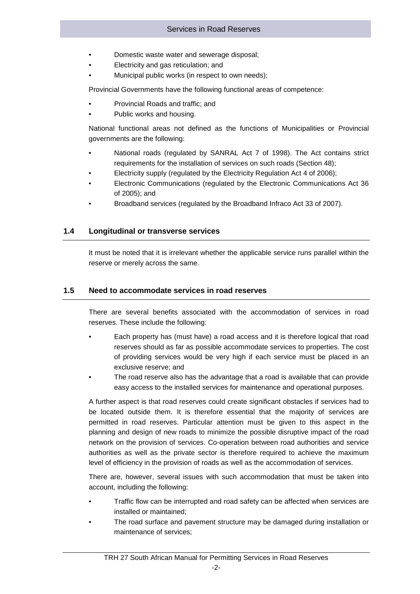- Domestic waste water and sewerage disposal;
- Electricity and gas reticulation; and
- Municipal public works (in respect to own needs);

Provincial Governments have the following functional areas of competence:

- Provincial Roads and traffic; and
- Public works and housing.

National functional areas not defined as the functions of Municipalities or Provincial governments are the following:

- National roads (regulated by SANRAL Act 7 of 1998). The Act contains strict requirements for the installation of services on such roads (Section 48);
- Electricity supply (regulated by the Electricity Regulation Act 4 of 2006);
- Electronic Communications (regulated by the Electronic Communications Act 36 of 2005); and
- <span id="page-7-0"></span>• Broadband services (regulated by the Broadband Infraco Act 33 of 2007).

#### **1.4 Longitudinal or transverse services**

<span id="page-7-1"></span>It must be noted that it is irrelevant whether the applicable service runs parallel within the reserve or merely across the same.

#### **1.5 Need to accommodate services in road reserves**

There are several benefits associated with the accommodation of services in road reserves. These include the following:

- Each property has (must have) a road access and it is therefore logical that road reserves should as far as possible accommodate services to properties. The cost of providing services would be very high if each service must be placed in an exclusive reserve; and
- The road reserve also has the advantage that a road is available that can provide easy access to the installed services for maintenance and operational purposes.

A further aspect is that road reserves could create significant obstacles if services had to be located outside them. It is therefore essential that the majority of services are permitted in road reserves. Particular attention must be given to this aspect in the planning and design of new roads to minimize the possible disruptive impact of the road network on the provision of services. Co-operation between road authorities and service authorities as well as the private sector is therefore required to achieve the maximum level of efficiency in the provision of roads as well as the accommodation of services.

There are, however, several issues with such accommodation that must be taken into account, including the following:

- Traffic flow can be interrupted and road safety can be affected when services are installed or maintained;
- The road surface and pavement structure may be damaged during installation or maintenance of services;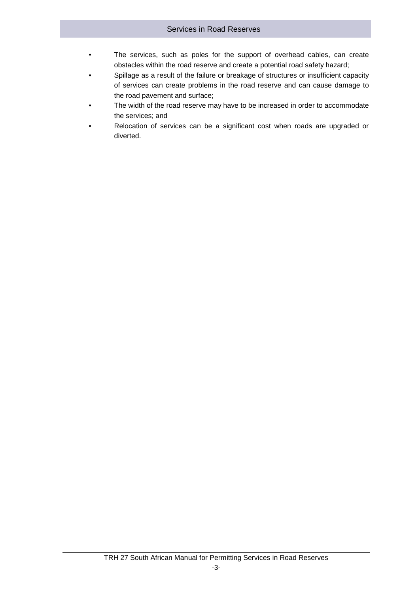- The services, such as poles for the support of overhead cables, can create obstacles within the road reserve and create a potential road safety hazard;
- Spillage as a result of the failure or breakage of structures or insufficient capacity of services can create problems in the road reserve and can cause damage to the road pavement and surface;
- The width of the road reserve may have to be increased in order to accommodate the services; and
- Relocation of services can be a significant cost when roads are upgraded or diverted.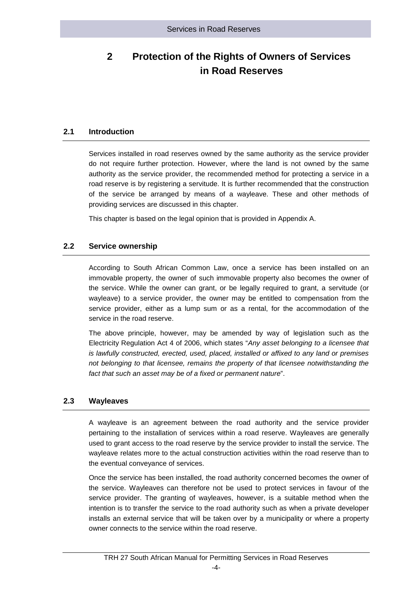# <span id="page-9-0"></span>**2 Protection of the Rights of Owners of Services in Road Reserves**

#### **2.1 Introduction**

<span id="page-9-1"></span>Services installed in road reserves owned by the same authority as the service provider do not require further protection. However, where the land is not owned by the same authority as the service provider, the recommended method for protecting a service in a road reserve is by registering a servitude. It is further recommended that the construction of the service be arranged by means of a wayleave. These and other methods of providing services are discussed in this chapter.

<span id="page-9-2"></span>This chapter is based on the legal opinion that is provided in Appendix A.

#### **2.2 Service ownership**

According to South African Common Law, once a service has been installed on an immovable property, the owner of such immovable property also becomes the owner of the service. While the owner can grant, or be legally required to grant, a servitude (or wayleave) to a service provider, the owner may be entitled to compensation from the service provider, either as a lump sum or as a rental, for the accommodation of the service in the road reserve.

The above principle, however, may be amended by way of legislation such as the Electricity Regulation Act 4 of 2006, which states "*Any asset belonging to a licensee that is lawfully constructed, erected, used, placed, installed or affixed to any land or premises not belonging to that licensee, remains the property of that licensee notwithstanding the fact that such an asset may be of a fixed or permanent nature*".

#### <span id="page-9-3"></span>**2.3 Wayleaves**

A wayleave is an agreement between the road authority and the service provider pertaining to the installation of services within a road reserve. Wayleaves are generally used to grant access to the road reserve by the service provider to install the service. The wayleave relates more to the actual construction activities within the road reserve than to the eventual conveyance of services.

Once the service has been installed, the road authority concerned becomes the owner of the service. Wayleaves can therefore not be used to protect services in favour of the service provider. The granting of wayleaves, however, is a suitable method when the intention is to transfer the service to the road authority such as when a private developer installs an external service that will be taken over by a municipality or where a property owner connects to the service within the road reserve.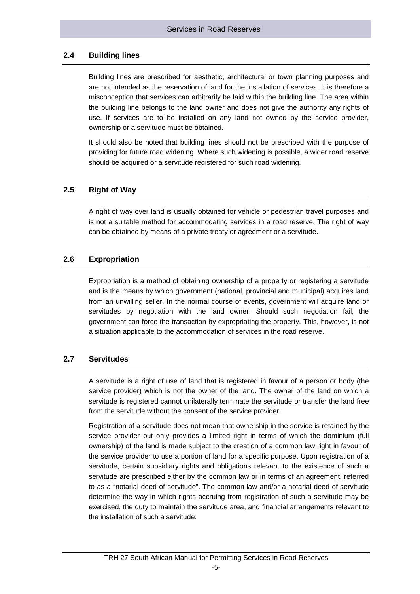#### **2.4 Building lines**

<span id="page-10-0"></span>Building lines are prescribed for aesthetic, architectural or town planning purposes and are not intended as the reservation of land for the installation of services. It is therefore a misconception that services can arbitrarily be laid within the building line. The area within the building line belongs to the land owner and does not give the authority any rights of use. If services are to be installed on any land not owned by the service provider, ownership or a servitude must be obtained.

It should also be noted that building lines should not be prescribed with the purpose of providing for future road widening. Where such widening is possible, a wider road reserve should be acquired or a servitude registered for such road widening.

#### <span id="page-10-1"></span>**2.5 Right of Way**

A right of way over land is usually obtained for vehicle or pedestrian travel purposes and is not a suitable method for accommodating services in a road reserve. The right of way can be obtained by means of a private treaty or agreement or a servitude.

#### <span id="page-10-2"></span>**2.6 Expropriation**

Expropriation is a method of obtaining ownership of a property or registering a servitude and is the means by which government (national, provincial and municipal) acquires land from an unwilling seller. In the normal course of events, government will acquire land or servitudes by negotiation with the land owner. Should such negotiation fail, the government can force the transaction by expropriating the property. This, however, is not a situation applicable to the accommodation of services in the road reserve.

#### <span id="page-10-3"></span>**2.7 Servitudes**

A servitude is a right of use of land that is registered in favour of a person or body (the service provider) which is not the owner of the land. The owner of the land on which a servitude is registered cannot unilaterally terminate the servitude or transfer the land free from the servitude without the consent of the service provider.

Registration of a servitude does not mean that ownership in the service is retained by the service provider but only provides a limited right in terms of which the dominium (full ownership) of the land is made subject to the creation of a common law right in favour of the service provider to use a portion of land for a specific purpose. Upon registration of a servitude, certain subsidiary rights and obligations relevant to the existence of such a servitude are prescribed either by the common law or in terms of an agreement, referred to as a "notarial deed of servitude". The common law and/or a notarial deed of servitude determine the way in which rights accruing from registration of such a servitude may be exercised, the duty to maintain the servitude area, and financial arrangements relevant to the installation of such a servitude.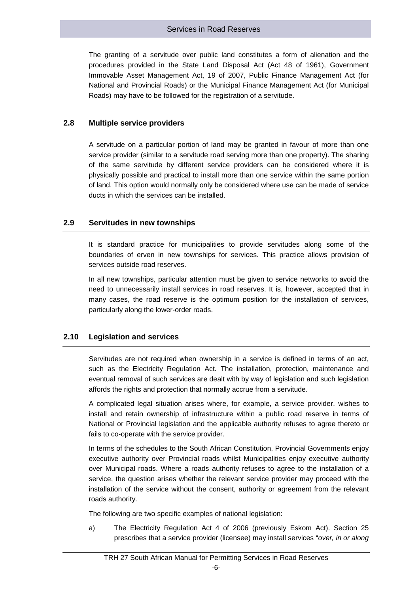The granting of a servitude over public land constitutes a form of alienation and the procedures provided in the State Land Disposal Act (Act 48 of 1961), Government Immovable Asset Management Act, 19 of 2007, Public Finance Management Act (for National and Provincial Roads) or the Municipal Finance Management Act (for Municipal Roads) may have to be followed for the registration of a servitude.

#### <span id="page-11-0"></span>**2.8 Multiple service providers**

A servitude on a particular portion of land may be granted in favour of more than one service provider (similar to a servitude road serving more than one property). The sharing of the same servitude by different service providers can be considered where it is physically possible and practical to install more than one service within the same portion of land. This option would normally only be considered where use can be made of service ducts in which the services can be installed.

#### <span id="page-11-1"></span>**2.9 Servitudes in new townships**

It is standard practice for municipalities to provide servitudes along some of the boundaries of erven in new townships for services. This practice allows provision of services outside road reserves.

In all new townships, particular attention must be given to service networks to avoid the need to unnecessarily install services in road reserves. It is, however, accepted that in many cases, the road reserve is the optimum position for the installation of services, particularly along the lower-order roads.

#### <span id="page-11-2"></span>**2.10 Legislation and services**

Servitudes are not required when ownership in a service is defined in terms of an act, such as the Electricity Regulation Act. The installation, protection, maintenance and eventual removal of such services are dealt with by way of legislation and such legislation affords the rights and protection that normally accrue from a servitude.

A complicated legal situation arises where, for example, a service provider, wishes to install and retain ownership of infrastructure within a public road reserve in terms of National or Provincial legislation and the applicable authority refuses to agree thereto or fails to co-operate with the service provider.

In terms of the schedules to the South African Constitution, Provincial Governments enjoy executive authority over Provincial roads whilst Municipalities enjoy executive authority over Municipal roads. Where a roads authority refuses to agree to the installation of a service, the question arises whether the relevant service provider may proceed with the installation of the service without the consent, authority or agreement from the relevant roads authority.

The following are two specific examples of national legislation:

a) The Electricity Regulation Act 4 of 2006 (previously Eskom Act). Section 25 prescribes that a service provider (licensee) may install services "*over, in or along*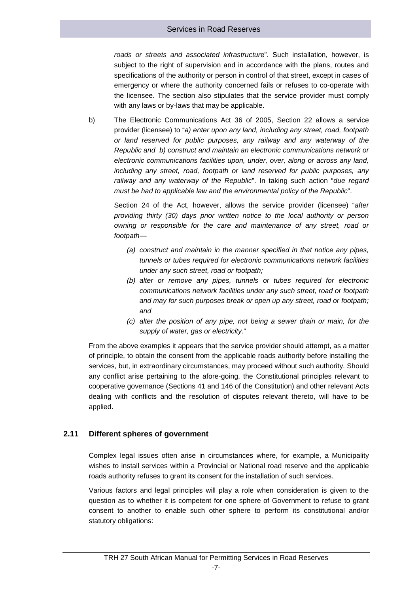*roads or streets and associated infrastructur*e". Such installation, however, is subject to the right of supervision and in accordance with the plans, routes and specifications of the authority or person in control of that street, except in cases of emergency or where the authority concerned fails or refuses to co-operate with the licensee. The section also stipulates that the service provider must comply with any laws or by-laws that may be applicable.

b) The Electronic Communications Act 36 of 2005, Section 22 allows a service provider (licensee) to "*a) enter upon any land, including any street, road, footpath or land reserved for public purposes, any railway and any waterway of the Republic and b) construct and maintain an electronic communications network or electronic communications facilities upon, under, over, along or across any land, including any street, road, footpath or land reserved for public purposes, any railway and any waterway of the Republic*". In taking such action "*due regard must be had to applicable law and the environmental policy of the Republic*".

Section 24 of the Act, however, allows the service provider (licensee) "*after providing thirty (30) days prior written notice to the local authority or person owning or responsible for the care and maintenance of any street, road or footpath—*

- *(a) construct and maintain in the manner specified in that notice any pipes, tunnels or tubes required for electronic communications network facilities under any such street, road or footpath;*
- *(b) alter or remove any pipes, tunnels or tubes required for electronic communications network facilities under any such street, road or footpath and may for such purposes break or open up any street, road or footpath; and*
- *(c) alter the position of any pipe, not being a sewer drain or main, for the supply of water, gas or electricity*."

From the above examples it appears that the service provider should attempt, as a matter of principle, to obtain the consent from the applicable roads authority before installing the services, but, in extraordinary circumstances, may proceed without such authority. Should any conflict arise pertaining to the afore-going, the Constitutional principles relevant to cooperative governance (Sections 41 and 146 of the Constitution) and other relevant Acts dealing with conflicts and the resolution of disputes relevant thereto, will have to be applied.

#### <span id="page-12-0"></span>**2.11 Different spheres of government**

Complex legal issues often arise in circumstances where, for example, a Municipality wishes to install services within a Provincial or National road reserve and the applicable roads authority refuses to grant its consent for the installation of such services.

Various factors and legal principles will play a role when consideration is given to the question as to whether it is competent for one sphere of Government to refuse to grant consent to another to enable such other sphere to perform its constitutional and/or statutory obligations: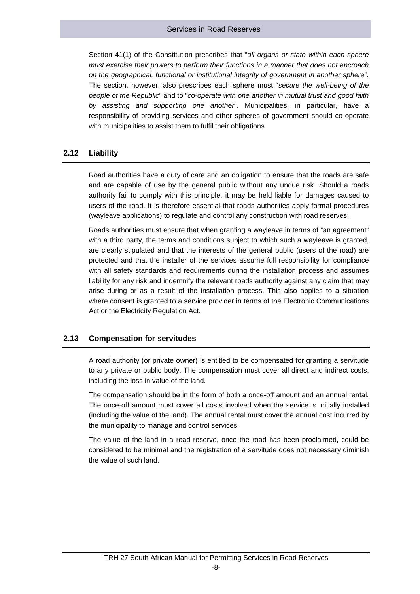Section 41(1) of the Constitution prescribes that "*all organs or state within each sphere must exercise their powers to perform their functions in a manner that does not encroach on the geographical, functional or institutional integrity of government in another sphere*". The section, however, also prescribes each sphere must "*secure the well-being of the people of the Republic*" and to "*co-operate with one another in mutual trust and good faith by assisting and supporting one another*". Municipalities, in particular, have a responsibility of providing services and other spheres of government should co-operate with municipalities to assist them to fulfil their obligations.

#### <span id="page-13-0"></span>**2.12 Liability**

Road authorities have a duty of care and an obligation to ensure that the roads are safe and are capable of use by the general public without any undue risk. Should a roads authority fail to comply with this principle, it may be held liable for damages caused to users of the road. It is therefore essential that roads authorities apply formal procedures (wayleave applications) to regulate and control any construction with road reserves.

Roads authorities must ensure that when granting a wayleave in terms of "an agreement" with a third party, the terms and conditions subject to which such a wayleave is granted, are clearly stipulated and that the interests of the general public (users of the road) are protected and that the installer of the services assume full responsibility for compliance with all safety standards and requirements during the installation process and assumes liability for any risk and indemnify the relevant roads authority against any claim that may arise during or as a result of the installation process. This also applies to a situation where consent is granted to a service provider in terms of the Electronic Communications Act or the Electricity Regulation Act.

#### <span id="page-13-1"></span>**2.13 Compensation for servitudes**

A road authority (or private owner) is entitled to be compensated for granting a servitude to any private or public body. The compensation must cover all direct and indirect costs, including the loss in value of the land.

The compensation should be in the form of both a once-off amount and an annual rental. The once-off amount must cover all costs involved when the service is initially installed (including the value of the land). The annual rental must cover the annual cost incurred by the municipality to manage and control services.

The value of the land in a road reserve, once the road has been proclaimed, could be considered to be minimal and the registration of a servitude does not necessary diminish the value of such land.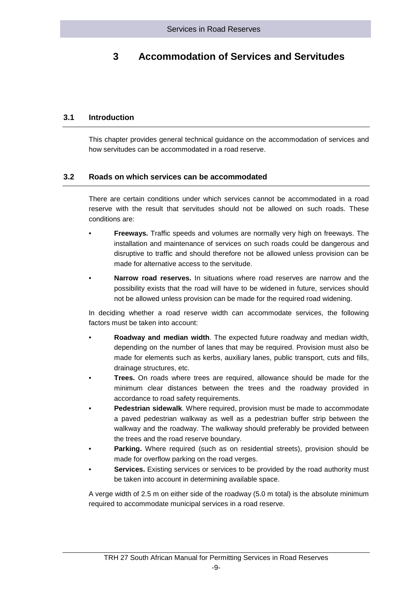# <span id="page-14-0"></span>**3 Accommodation of Services and Servitudes**

#### **3.1 Introduction**

<span id="page-14-2"></span><span id="page-14-1"></span>This chapter provides general technical guidance on the accommodation of services and how servitudes can be accommodated in a road reserve.

#### **3.2 Roads on which services can be accommodated**

There are certain conditions under which services cannot be accommodated in a road reserve with the result that servitudes should not be allowed on such roads. These conditions are:

- **Freeways.** Traffic speeds and volumes are normally very high on freeways. The installation and maintenance of services on such roads could be dangerous and disruptive to traffic and should therefore not be allowed unless provision can be made for alternative access to the servitude.
- **Narrow road reserves.** In situations where road reserves are narrow and the possibility exists that the road will have to be widened in future, services should not be allowed unless provision can be made for the required road widening.

In deciding whether a road reserve width can accommodate services, the following factors must be taken into account:

- **Roadway and median width**. The expected future roadway and median width, depending on the number of lanes that may be required. Provision must also be made for elements such as kerbs, auxiliary lanes, public transport, cuts and fills, drainage structures, etc.
- **Trees.** On roads where trees are required, allowance should be made for the minimum clear distances between the trees and the roadway provided in accordance to road safety requirements.
- **Pedestrian sidewalk**. Where required, provision must be made to accommodate a paved pedestrian walkway as well as a pedestrian buffer strip between the walkway and the roadway. The walkway should preferably be provided between the trees and the road reserve boundary.
- **Parking.** Where required (such as on residential streets), provision should be made for overflow parking on the road verges.
- **Services.** Existing services or services to be provided by the road authority must be taken into account in determining available space.

A verge width of 2.5 m on either side of the roadway (5.0 m total) is the absolute minimum required to accommodate municipal services in a road reserve.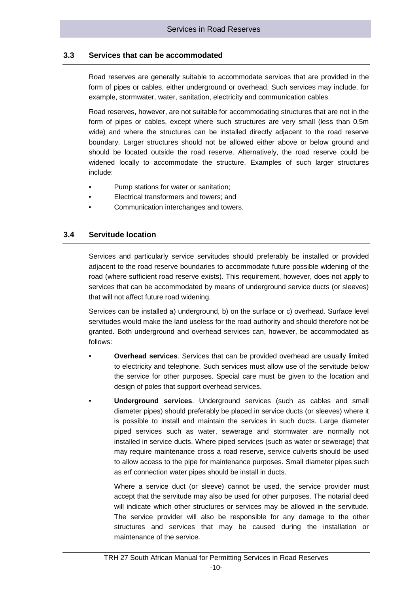#### **3.3 Services that can be accommodated**

<span id="page-15-0"></span>Road reserves are generally suitable to accommodate services that are provided in the form of pipes or cables, either underground or overhead. Such services may include, for example, stormwater, water, sanitation, electricity and communication cables.

Road reserves, however, are not suitable for accommodating structures that are not in the form of pipes or cables, except where such structures are very small (less than 0.5m wide) and where the structures can be installed directly adjacent to the road reserve boundary. Larger structures should not be allowed either above or below ground and should be located outside the road reserve. Alternatively, the road reserve could be widened locally to accommodate the structure. Examples of such larger structures include:

- Pump stations for water or sanitation;
- Electrical transformers and towers; and
- <span id="page-15-1"></span>• Communication interchanges and towers.

#### **3.4 Servitude location**

Services and particularly service servitudes should preferably be installed or provided adjacent to the road reserve boundaries to accommodate future possible widening of the road (where sufficient road reserve exists). This requirement, however, does not apply to services that can be accommodated by means of underground service ducts (or sleeves) that will not affect future road widening.

Services can be installed a) underground, b) on the surface or c) overhead. Surface level servitudes would make the land useless for the road authority and should therefore not be granted. Both underground and overhead services can, however, be accommodated as follows:

- **Overhead services**. Services that can be provided overhead are usually limited to electricity and telephone. Such services must allow use of the servitude below the service for other purposes. Special care must be given to the location and design of poles that support overhead services.
- **Underground services**. Underground services (such as cables and small diameter pipes) should preferably be placed in service ducts (or sleeves) where it is possible to install and maintain the services in such ducts. Large diameter piped services such as water, sewerage and stormwater are normally not installed in service ducts. Where piped services (such as water or sewerage) that may require maintenance cross a road reserve, service culverts should be used to allow access to the pipe for maintenance purposes. Small diameter pipes such as erf connection water pipes should be install in ducts.

Where a service duct (or sleeve) cannot be used, the service provider must accept that the servitude may also be used for other purposes. The notarial deed will indicate which other structures or services may be allowed in the servitude. The service provider will also be responsible for any damage to the other structures and services that may be caused during the installation or maintenance of the service.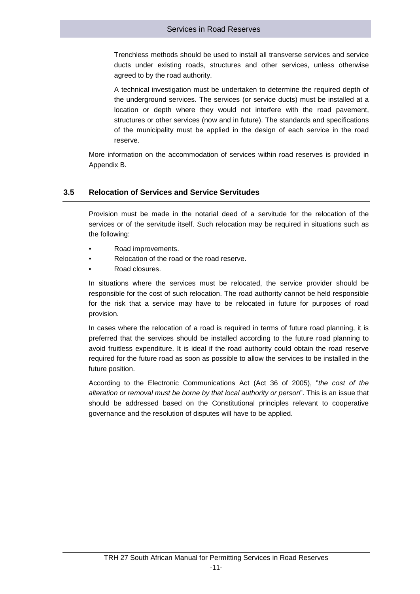Trenchless methods should be used to install all transverse services and service ducts under existing roads, structures and other services, unless otherwise agreed to by the road authority.

A technical investigation must be undertaken to determine the required depth of the underground services. The services (or service ducts) must be installed at a location or depth where they would not interfere with the road pavement, structures or other services (now and in future). The standards and specifications of the municipality must be applied in the design of each service in the road reserve.

<span id="page-16-0"></span>More information on the accommodation of services within road reserves is provided in Appendix B.

#### **3.5 Relocation of Services and Service Servitudes**

Provision must be made in the notarial deed of a servitude for the relocation of the services or of the servitude itself. Such relocation may be required in situations such as the following:

- Road improvements.
- Relocation of the road or the road reserve.
- Road closures.

In situations where the services must be relocated, the service provider should be responsible for the cost of such relocation. The road authority cannot be held responsible for the risk that a service may have to be relocated in future for purposes of road provision.

In cases where the relocation of a road is required in terms of future road planning, it is preferred that the services should be installed according to the future road planning to avoid fruitless expenditure. It is ideal if the road authority could obtain the road reserve required for the future road as soon as possible to allow the services to be installed in the future position.

According to the Electronic Communications Act (Act 36 of 2005), "*the cost of the alteration or removal must be borne by that local authority or person*". This is an issue that should be addressed based on the Constitutional principles relevant to cooperative governance and the resolution of disputes will have to be applied.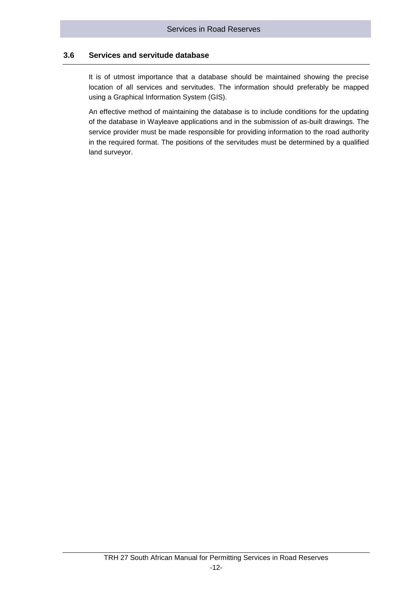#### **3.6 Services and servitude database**

<span id="page-17-0"></span>It is of utmost importance that a database should be maintained showing the precise location of all services and servitudes. The information should preferably be mapped using a Graphical Information System (GIS).

An effective method of maintaining the database is to include conditions for the updating of the database in Wayleave applications and in the submission of as-built drawings. The service provider must be made responsible for providing information to the road authority in the required format. The positions of the servitudes must be determined by a qualified land surveyor.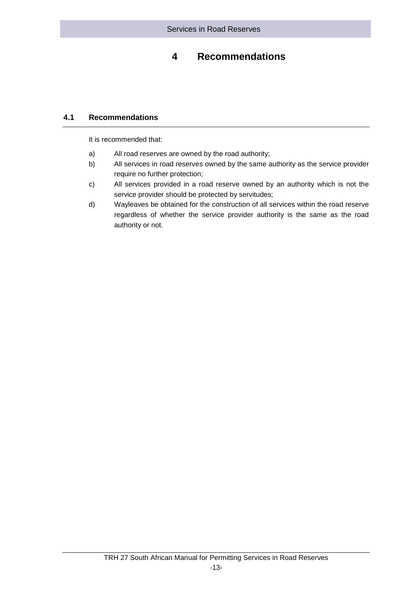## **4 Recommendations**

### <span id="page-18-0"></span>**4.1 Recommendations**

<span id="page-18-1"></span>It is recommended that:

- a) All road reserves are owned by the road authority;
- b) All services in road reserves owned by the same authority as the service provider require no further protection;
- c) All services provided in a road reserve owned by an authority which is not the service provider should be protected by servitudes;
- d) Wayleaves be obtained for the construction of all services within the road reserve regardless of whether the service provider authority is the same as the road authority or not.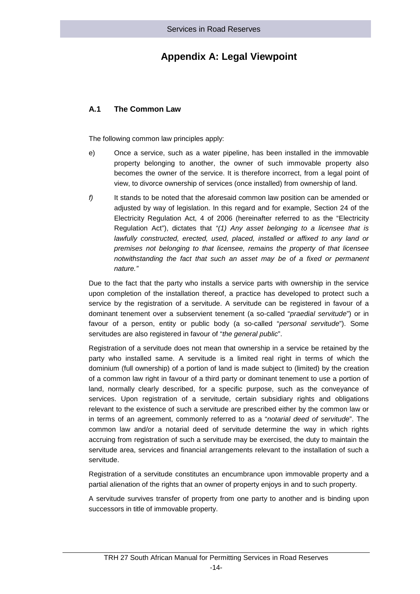## **Appendix A: Legal Viewpoint**

### **A.1 The Common Law**

The following common law principles apply:

- e) Once a service, such as a water pipeline, has been installed in the immovable property belonging to another, the owner of such immovable property also becomes the owner of the service. It is therefore incorrect, from a legal point of view, to divorce ownership of services (once installed) from ownership of land.
- *f)* It stands to be noted that the aforesaid common law position can be amended or adjusted by way of legislation. In this regard and for example, Section 24 of the Electricity Regulation Act, 4 of 2006 (hereinafter referred to as the "Electricity Regulation Act"), dictates that *"(1) Any asset belonging to a licensee that is lawfully constructed, erected, used, placed, installed or affixed to any land or premises not belonging to that licensee, remains the property of that licensee notwithstanding the fact that such an asset may be of a fixed or permanent nature."*

Due to the fact that the party who installs a service parts with ownership in the service upon completion of the installation thereof, a practice has developed to protect such a service by the registration of a servitude. A servitude can be registered in favour of a dominant tenement over a subservient tenement (a so-called "*praedial servitude*") or in favour of a person, entity or public body (a so-called "*personal servitude*"). Some servitudes are also registered in favour of "*the general public*".

Registration of a servitude does not mean that ownership in a service be retained by the party who installed same. A servitude is a limited real right in terms of which the dominium (full ownership) of a portion of land is made subject to (limited) by the creation of a common law right in favour of a third party or dominant tenement to use a portion of land, normally clearly described, for a specific purpose, such as the conveyance of services. Upon registration of a servitude, certain subsidiary rights and obligations relevant to the existence of such a servitude are prescribed either by the common law or in terms of an agreement, commonly referred to as a "*notarial deed of servitude*". The common law and/or a notarial deed of servitude determine the way in which rights accruing from registration of such a servitude may be exercised, the duty to maintain the servitude area, services and financial arrangements relevant to the installation of such a servitude.

Registration of a servitude constitutes an encumbrance upon immovable property and a partial alienation of the rights that an owner of property enjoys in and to such property.

A servitude survives transfer of property from one party to another and is binding upon successors in title of immovable property.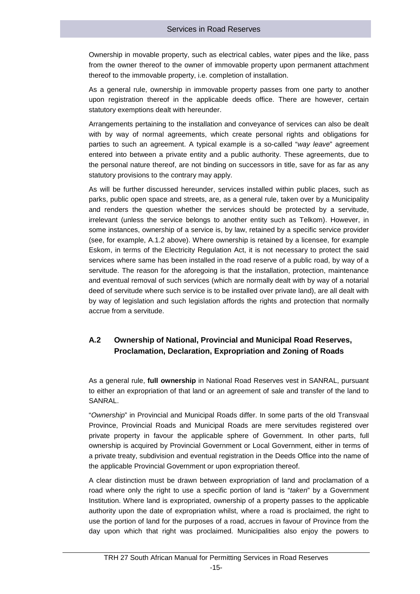Ownership in movable property, such as electrical cables, water pipes and the like, pass from the owner thereof to the owner of immovable property upon permanent attachment thereof to the immovable property, i.e. completion of installation.

As a general rule, ownership in immovable property passes from one party to another upon registration thereof in the applicable deeds office. There are however, certain statutory exemptions dealt with hereunder.

Arrangements pertaining to the installation and conveyance of services can also be dealt with by way of normal agreements, which create personal rights and obligations for parties to such an agreement. A typical example is a so-called "*way leave*" agreement entered into between a private entity and a public authority. These agreements, due to the personal nature thereof, are not binding on successors in title, save for as far as any statutory provisions to the contrary may apply.

As will be further discussed hereunder, services installed within public places, such as parks, public open space and streets, are, as a general rule, taken over by a Municipality and renders the question whether the services should be protected by a servitude, irrelevant (unless the service belongs to another entity such as Telkom). However, in some instances, ownership of a service is, by law, retained by a specific service provider (see, for example, A.1.2 above). Where ownership is retained by a licensee, for example Eskom, in terms of the Electricity Regulation Act, it is not necessary to protect the said services where same has been installed in the road reserve of a public road, by way of a servitude. The reason for the aforegoing is that the installation, protection, maintenance and eventual removal of such services (which are normally dealt with by way of a notarial deed of servitude where such service is to be installed over private land), are all dealt with by way of legislation and such legislation affords the rights and protection that normally accrue from a servitude.

## **A.2 Ownership of National, Provincial and Municipal Road Reserves, Proclamation, Declaration, Expropriation and Zoning of Roads**

As a general rule, **full ownership** in National Road Reserves vest in SANRAL, pursuant to either an expropriation of that land or an agreement of sale and transfer of the land to SANRAL.

"*Ownership*" in Provincial and Municipal Roads differ. In some parts of the old Transvaal Province, Provincial Roads and Municipal Roads are mere servitudes registered over private property in favour the applicable sphere of Government. In other parts, full ownership is acquired by Provincial Government or Local Government, either in terms of a private treaty, subdivision and eventual registration in the Deeds Office into the name of the applicable Provincial Government or upon expropriation thereof.

A clear distinction must be drawn between expropriation of land and proclamation of a road where only the right to use a specific portion of land is "*taken*" by a Government Institution. Where land is expropriated, ownership of a property passes to the applicable authority upon the date of expropriation whilst, where a road is proclaimed, the right to use the portion of land for the purposes of a road, accrues in favour of Province from the day upon which that right was proclaimed. Municipalities also enjoy the powers to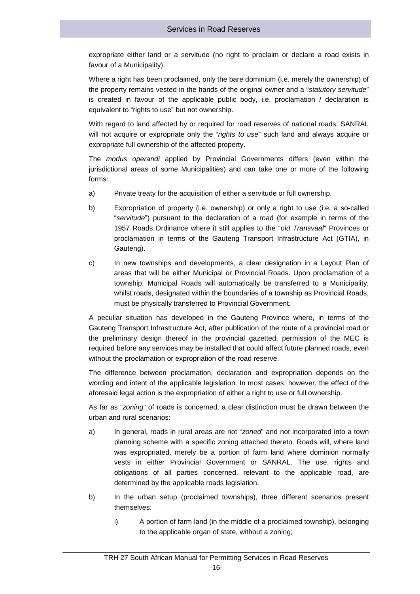expropriate either land or a servitude (no right to proclaim or declare a road exists in favour of a Municipality).

Where a right has been proclaimed, only the bare dominium (i.e. merely the ownership) of the property remains vested in the hands of the original owner and a "*statutory servitude*" is created in favour of the applicable public body, i.e. proclamation / declaration is equivalent to "rights to use" but not ownership.

With regard to land affected by or required for road reserves of national roads, SANRAL will not acquire or expropriate only the "*rights to use*" such land and always acquire or expropriate full ownership of the affected property.

The *modus operandi* applied by Provincial Governments differs (even within the jurisdictional areas of some Municipalities) and can take one or more of the following forms:

- a) Private treaty for the acquisition of either a servitude or full ownership.
- b) Expropriation of property (i.e. ownership) or only a right to use (i.e. a so-called "*servitude*") pursuant to the declaration of a road (for example in terms of the 1957 Roads Ordinance where it still applies to the "*old Transvaal*" Provinces or proclamation in terms of the Gauteng Transport Infrastructure Act (GTIA), in Gauteng).
- c) In new townships and developments, a clear designation in a Layout Plan of areas that will be either Municipal or Provincial Roads. Upon proclamation of a township, Municipal Roads will automatically be transferred to a Municipality, whilst roads, designated within the boundaries of a township as Provincial Roads, must be physically transferred to Provincial Government.

A peculiar situation has developed in the Gauteng Province where, in terms of the Gauteng Transport Infrastructure Act, after publication of the route of a provincial road or the preliminary design thereof in the provincial gazetted, permission of the MEC is required before any services may be installed that could affect future planned roads, even without the proclamation or expropriation of the road reserve.

The difference between proclamation, declaration and expropriation depends on the wording and intent of the applicable legislation. In most cases, however, the effect of the aforesaid legal action is the expropriation of either a right to use or full ownership.

As far as "*zoning*" of roads is concerned, a clear distinction must be drawn between the urban and rural scenarios:

- a) In general, roads in rural areas are not "*zoned*" and not incorporated into a town planning scheme with a specific zoning attached thereto. Roads will, where land was expropriated, merely be a portion of farm land where dominion normally vests in either Provincial Government or SANRAL. The use, rights and obligations of all parties concerned, relevant to the applicable road, are determined by the applicable roads legislation.
- b) In the urban setup (proclaimed townships), three different scenarios present themselves:
	- i) A portion of farm land (in the middle of a proclaimed township), belonging to the applicable organ of state, without a zoning;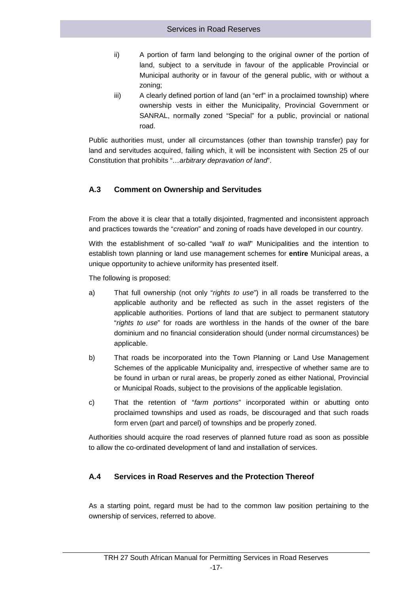- ii) A portion of farm land belonging to the original owner of the portion of land, subject to a servitude in favour of the applicable Provincial or Municipal authority or in favour of the general public, with or without a zoning;
- iii) A clearly defined portion of land (an "erf" in a proclaimed township) where ownership vests in either the Municipality, Provincial Government or SANRAL, normally zoned "Special" for a public, provincial or national road.

Public authorities must, under all circumstances (other than township transfer) pay for land and servitudes acquired, failing which, it will be inconsistent with Section 25 of our Constitution that prohibits "*…arbitrary depravation of land*".

### **A.3 Comment on Ownership and Servitudes**

From the above it is clear that a totally disjointed, fragmented and inconsistent approach and practices towards the "*creation*" and zoning of roads have developed in our country.

With the establishment of so-called "*wall to wall*" Municipalities and the intention to establish town planning or land use management schemes for **entire** Municipal areas, a unique opportunity to achieve uniformity has presented itself.

The following is proposed:

- a) That full ownership (not only "*rights to use*") in all roads be transferred to the applicable authority and be reflected as such in the asset registers of the applicable authorities. Portions of land that are subject to permanent statutory "*rights to use*" for roads are worthless in the hands of the owner of the bare dominium and no financial consideration should (under normal circumstances) be applicable.
- b) That roads be incorporated into the Town Planning or Land Use Management Schemes of the applicable Municipality and, irrespective of whether same are to be found in urban or rural areas, be properly zoned as either National, Provincial or Municipal Roads, subject to the provisions of the applicable legislation.
- c) That the retention of "*farm portions*" incorporated within or abutting onto proclaimed townships and used as roads, be discouraged and that such roads form erven (part and parcel) of townships and be properly zoned.

Authorities should acquire the road reserves of planned future road as soon as possible to allow the co-ordinated development of land and installation of services.

#### **A.4 Services in Road Reserves and the Protection Thereof**

As a starting point, regard must be had to the common law position pertaining to the ownership of services, referred to above.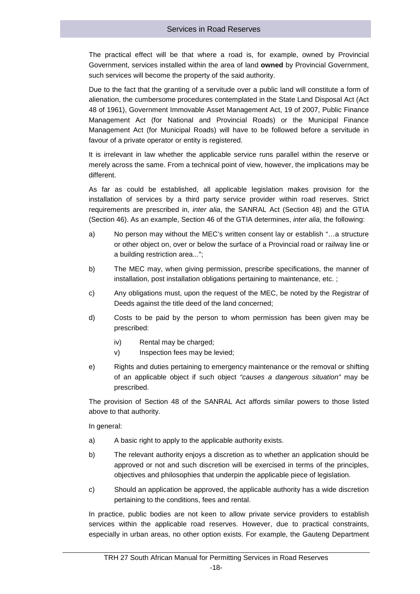The practical effect will be that where a road is, for example, owned by Provincial Government, services installed within the area of land **owned** by Provincial Government, such services will become the property of the said authority.

Due to the fact that the granting of a servitude over a public land will constitute a form of alienation, the cumbersome procedures contemplated in the State Land Disposal Act (Act 48 of 1961), Government Immovable Asset Management Act, 19 of 2007, Public Finance Management Act (for National and Provincial Roads) or the Municipal Finance Management Act (for Municipal Roads) will have to be followed before a servitude in favour of a private operator or entity is registered.

It is irrelevant in law whether the applicable service runs parallel within the reserve or merely across the same. From a technical point of view, however, the implications may be different.

As far as could be established, all applicable legislation makes provision for the installation of services by a third party service provider within road reserves. Strict requirements are prescribed in, *inter alia*, the SANRAL Act (Section 48) and the GTIA (Section 46). As an example, Section 46 of the GTIA determines, *inter alia*, the following:

- a) No person may without the MEC's written consent lay or establish "…a structure or other object on, over or below the surface of a Provincial road or railway line or a building restriction area...";
- b) The MEC may, when giving permission, prescribe specifications, the manner of installation, post installation obligations pertaining to maintenance, etc.;
- c) Any obligations must, upon the request of the MEC, be noted by the Registrar of Deeds against the title deed of the land concerned;
- d) Costs to be paid by the person to whom permission has been given may be prescribed:
	- iv) Rental may be charged;
	- v) Inspection fees may be levied;
- e) Rights and duties pertaining to emergency maintenance or the removal or shifting of an applicable object if such object *"causes a dangerous situation"* may be prescribed.

The provision of Section 48 of the SANRAL Act affords similar powers to those listed above to that authority.

In general:

- a) A basic right to apply to the applicable authority exists.
- b) The relevant authority enjoys a discretion as to whether an application should be approved or not and such discretion will be exercised in terms of the principles, objectives and philosophies that underpin the applicable piece of legislation.
- c) Should an application be approved, the applicable authority has a wide discretion pertaining to the conditions, fees and rental.

In practice, public bodies are not keen to allow private service providers to establish services within the applicable road reserves. However, due to practical constraints, especially in urban areas, no other option exists. For example, the Gauteng Department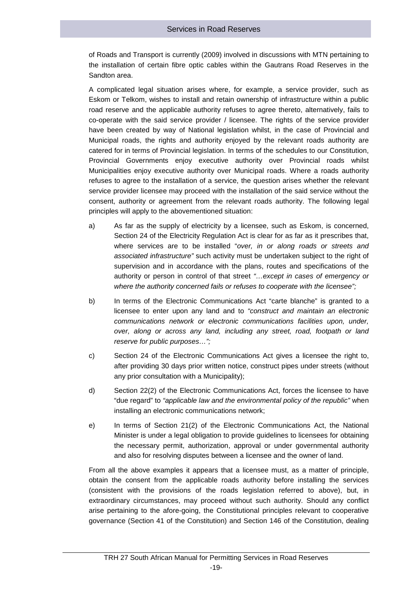of Roads and Transport is currently (2009) involved in discussions with MTN pertaining to the installation of certain fibre optic cables within the Gautrans Road Reserves in the Sandton area.

A complicated legal situation arises where, for example, a service provider, such as Eskom or Telkom, wishes to install and retain ownership of infrastructure within a public road reserve and the applicable authority refuses to agree thereto, alternatively, fails to co-operate with the said service provider / licensee. The rights of the service provider have been created by way of National legislation whilst, in the case of Provincial and Municipal roads, the rights and authority enjoyed by the relevant roads authority are catered for in terms of Provincial legislation. In terms of the schedules to our Constitution, Provincial Governments enjoy executive authority over Provincial roads whilst Municipalities enjoy executive authority over Municipal roads. Where a roads authority refuses to agree to the installation of a service, the question arises whether the relevant service provider licensee may proceed with the installation of the said service without the consent, authority or agreement from the relevant roads authority. The following legal principles will apply to the abovementioned situation:

- a) As far as the supply of electricity by a licensee, such as Eskom, is concerned, Section 24 of the Electricity Regulation Act is clear for as far as it prescribes that, where services are to be installed "*over, in or along roads or streets and associated infrastructure"* such activity must be undertaken subject to the right of supervision and in accordance with the plans, routes and specifications of the authority or person in control of that street *"…except in cases of emergency or where the authority concerned fails or refuses to cooperate with the licensee";*
- b) In terms of the Electronic Communications Act "carte blanche" is granted to a licensee to enter upon any land and to *"construct and maintain an electronic communications network or electronic communications facilities upon, under, over, along or across any land, including any street, road, footpath or land reserve for public purposes…";*
- c) Section 24 of the Electronic Communications Act gives a licensee the right to, after providing 30 days prior written notice, construct pipes under streets (without any prior consultation with a Municipality);
- d) Section 22(2) of the Electronic Communications Act, forces the licensee to have "due regard" to *"applicable law and the environmental policy of the republic"* when installing an electronic communications network;
- e) In terms of Section 21(2) of the Electronic Communications Act, the National Minister is under a legal obligation to provide guidelines to licensees for obtaining the necessary permit, authorization, approval or under governmental authority and also for resolving disputes between a licensee and the owner of land.

From all the above examples it appears that a licensee must, as a matter of principle, obtain the consent from the applicable roads authority before installing the services (consistent with the provisions of the roads legislation referred to above), but, in extraordinary circumstances, may proceed without such authority. Should any conflict arise pertaining to the afore-going, the Constitutional principles relevant to cooperative governance (Section 41 of the Constitution) and Section 146 of the Constitution, dealing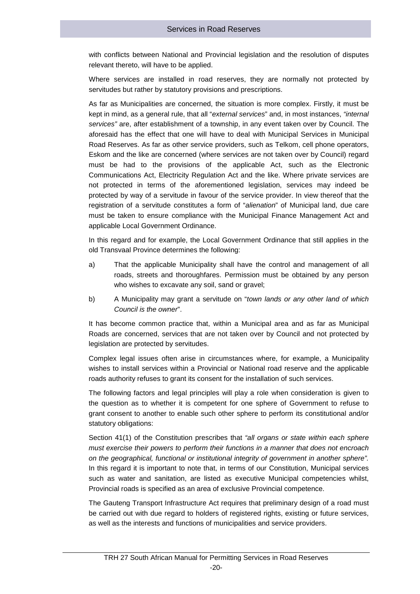with conflicts between National and Provincial legislation and the resolution of disputes relevant thereto, will have to be applied.

Where services are installed in road reserves, they are normally not protected by servitudes but rather by statutory provisions and prescriptions.

As far as Municipalities are concerned, the situation is more complex. Firstly, it must be kept in mind, as a general rule, that all "*external services*" and, in most instances, *"internal services"* are, after establishment of a township, in any event taken over by Council. The aforesaid has the effect that one will have to deal with Municipal Services in Municipal Road Reserves. As far as other service providers, such as Telkom, cell phone operators, Eskom and the like are concerned (where services are not taken over by Council) regard must be had to the provisions of the applicable Act, such as the Electronic Communications Act, Electricity Regulation Act and the like. Where private services are not protected in terms of the aforementioned legislation, services may indeed be protected by way of a servitude in favour of the service provider. In view thereof that the registration of a servitude constitutes a form of "*alienation*" of Municipal land, due care must be taken to ensure compliance with the Municipal Finance Management Act and applicable Local Government Ordinance.

In this regard and for example, the Local Government Ordinance that still applies in the old Transvaal Province determines the following:

- a) That the applicable Municipality shall have the control and management of all roads, streets and thoroughfares. Permission must be obtained by any person who wishes to excavate any soil, sand or gravel;
- b) A Municipality may grant a servitude on "*town lands or any other land of which Council is the owner*".

It has become common practice that, within a Municipal area and as far as Municipal Roads are concerned, services that are not taken over by Council and not protected by legislation are protected by servitudes.

Complex legal issues often arise in circumstances where, for example, a Municipality wishes to install services within a Provincial or National road reserve and the applicable roads authority refuses to grant its consent for the installation of such services.

The following factors and legal principles will play a role when consideration is given to the question as to whether it is competent for one sphere of Government to refuse to grant consent to another to enable such other sphere to perform its constitutional and/or statutory obligations:

Section 41(1) of the Constitution prescribes that *"all organs or state within each sphere must exercise their powers to perform their functions in a manner that does not encroach on the geographical, functional or institutional integrity of government in another sphere".* In this regard it is important to note that, in terms of our Constitution, Municipal services such as water and sanitation, are listed as executive Municipal competencies whilst, Provincial roads is specified as an area of exclusive Provincial competence.

The Gauteng Transport Infrastructure Act requires that preliminary design of a road must be carried out with due regard to holders of registered rights, existing or future services, as well as the interests and functions of municipalities and service providers.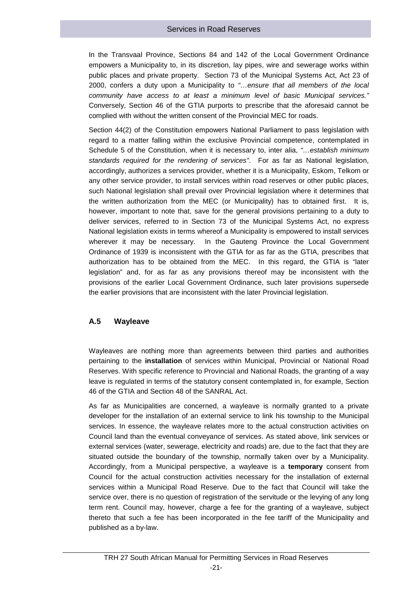In the Transvaal Province, Sections 84 and 142 of the Local Government Ordinance empowers a Municipality to, in its discretion, lay pipes, wire and sewerage works within public places and private property. Section 73 of the Municipal Systems Act, Act 23 of 2000, confers a duty upon a Municipality to *"…ensure that all members of the local community have access to at least a minimum level of basic Municipal services."* Conversely, Section 46 of the GTIA purports to prescribe that the aforesaid cannot be complied with without the written consent of the Provincial MEC for roads.

Section 44(2) of the Constitution empowers National Parliament to pass legislation with regard to a matter falling within the exclusive Provincial competence, contemplated in Schedule 5 of the Constitution, when it is necessary to, inter alia, *"…establish minimum standards required for the rendering of services"*. For as far as National legislation, accordingly, authorizes a services provider, whether it is a Municipality, Eskom, Telkom or any other service provider, to install services within road reserves or other public places, such National legislation shall prevail over Provincial legislation where it determines that the written authorization from the MEC (or Municipality) has to obtained first. It is, however, important to note that, save for the general provisions pertaining to a duty to deliver services, referred to in Section 73 of the Municipal Systems Act, no express National legislation exists in terms whereof a Municipality is empowered to install services wherever it may be necessary. In the Gauteng Province the Local Government Ordinance of 1939 is inconsistent with the GTIA for as far as the GTIA, prescribes that authorization has to be obtained from the MEC. In this regard, the GTIA is "later legislation" and, for as far as any provisions thereof may be inconsistent with the provisions of the earlier Local Government Ordinance, such later provisions supersede the earlier provisions that are inconsistent with the later Provincial legislation.

#### **A.5 Wayleave**

Wayleaves are nothing more than agreements between third parties and authorities pertaining to the **installation** of services within Municipal, Provincial or National Road Reserves. With specific reference to Provincial and National Roads, the granting of a way leave is regulated in terms of the statutory consent contemplated in, for example, Section 46 of the GTIA and Section 48 of the SANRAL Act.

As far as Municipalities are concerned, a wayleave is normally granted to a private developer for the installation of an external service to link his township to the Municipal services. In essence, the wayleave relates more to the actual construction activities on Council land than the eventual conveyance of services. As stated above, link services or external services (water, sewerage, electricity and roads) are, due to the fact that they are situated outside the boundary of the township, normally taken over by a Municipality. Accordingly, from a Municipal perspective, a wayleave is a **temporary** consent from Council for the actual construction activities necessary for the installation of external services within a Municipal Road Reserve. Due to the fact that Council will take the service over, there is no question of registration of the servitude or the levying of any long term rent. Council may, however, charge a fee for the granting of a wayleave, subject thereto that such a fee has been incorporated in the fee tariff of the Municipality and published as a by-law.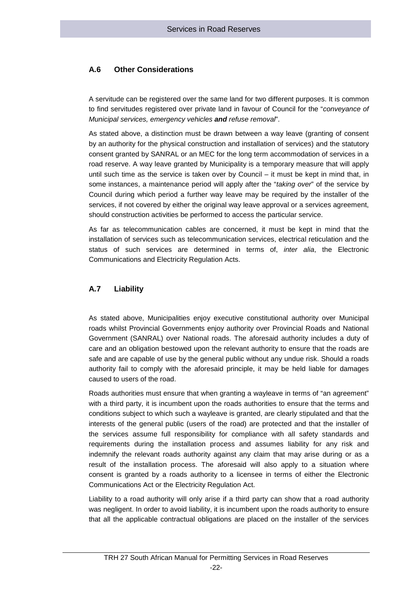#### **A.6 Other Considerations**

A servitude can be registered over the same land for two different purposes. It is common to find servitudes registered over private land in favour of Council for the "*conveyance of Municipal services, emergency vehicles and refuse removal*".

As stated above, a distinction must be drawn between a way leave (granting of consent by an authority for the physical construction and installation of services) and the statutory consent granted by SANRAL or an MEC for the long term accommodation of services in a road reserve. A way leave granted by Municipality is a temporary measure that will apply until such time as the service is taken over by Council – it must be kept in mind that, in some instances, a maintenance period will apply after the "*taking over*" of the service by Council during which period a further way leave may be required by the installer of the services, if not covered by either the original way leave approval or a services agreement, should construction activities be performed to access the particular service.

As far as telecommunication cables are concerned, it must be kept in mind that the installation of services such as telecommunication services, electrical reticulation and the status of such services are determined in terms of, *inter alia*, the Electronic Communications and Electricity Regulation Acts.

#### **A.7 Liability**

As stated above, Municipalities enjoy executive constitutional authority over Municipal roads whilst Provincial Governments enjoy authority over Provincial Roads and National Government (SANRAL) over National roads. The aforesaid authority includes a duty of care and an obligation bestowed upon the relevant authority to ensure that the roads are safe and are capable of use by the general public without any undue risk. Should a roads authority fail to comply with the aforesaid principle, it may be held liable for damages caused to users of the road.

Roads authorities must ensure that when granting a wayleave in terms of "an agreement" with a third party, it is incumbent upon the roads authorities to ensure that the terms and conditions subject to which such a wayleave is granted, are clearly stipulated and that the interests of the general public (users of the road) are protected and that the installer of the services assume full responsibility for compliance with all safety standards and requirements during the installation process and assumes liability for any risk and indemnify the relevant roads authority against any claim that may arise during or as a result of the installation process. The aforesaid will also apply to a situation where consent is granted by a roads authority to a licensee in terms of either the Electronic Communications Act or the Electricity Regulation Act.

Liability to a road authority will only arise if a third party can show that a road authority was negligent. In order to avoid liability, it is incumbent upon the roads authority to ensure that all the applicable contractual obligations are placed on the installer of the services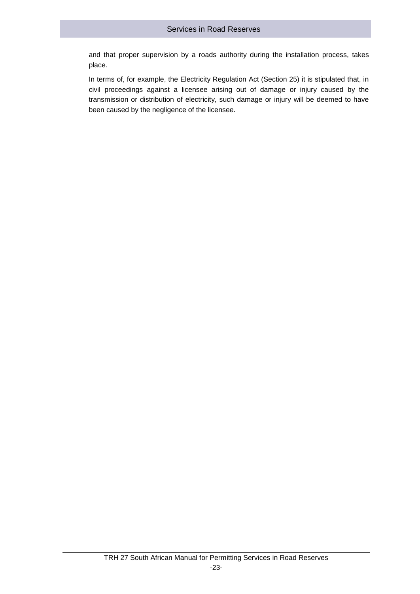and that proper supervision by a roads authority during the installation process, takes place.

In terms of, for example, the Electricity Regulation Act (Section 25) it is stipulated that, in civil proceedings against a licensee arising out of damage or injury caused by the transmission or distribution of electricity, such damage or injury will be deemed to have been caused by the negligence of the licensee.